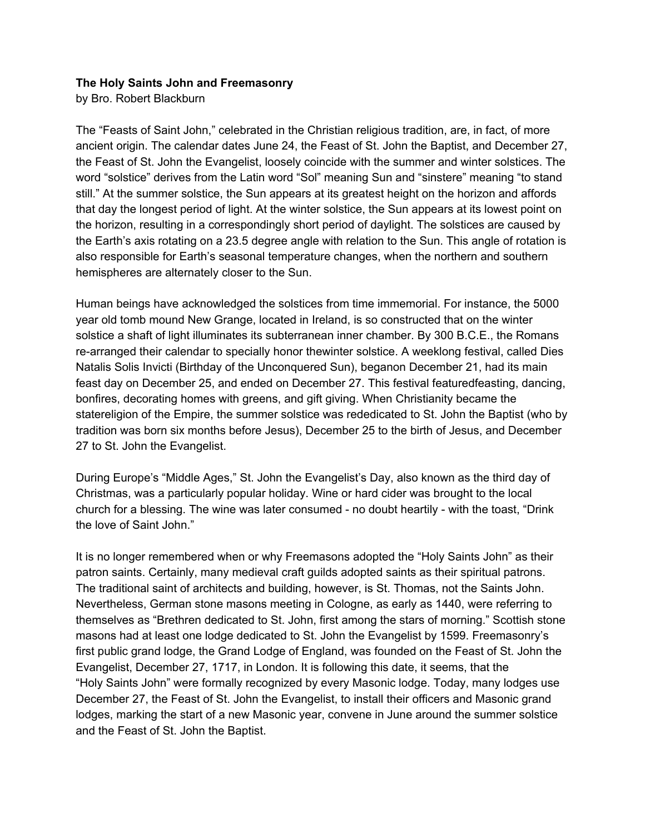## **The Holy Saints John and Freemasonry**

by Bro. Robert Blackburn

The "Feasts of Saint John," celebrated in the Christian religious tradition, are, in fact, of more ancient origin. The calendar dates June 24, the Feast of St. John the Baptist, and December 27, the Feast of St. John the Evangelist, loosely coincide with the summer and winter solstices. The word "solstice" derives from the Latin word "Sol" meaning Sun and "sinstere" meaning "to stand still." At the summer solstice, the Sun appears at its greatest height on the horizon and affords that day the longest period of light. At the winter solstice, the Sun appears at its lowest point on the horizon, resulting in a correspondingly short period of daylight. The solstices are caused by the Earth's axis rotating on a 23.5 degree angle with relation to the Sun. This angle of rotation is also responsible for Earth's seasonal temperature changes, when the northern and southern hemispheres are alternately closer to the Sun.

Human beings have acknowledged the solstices from time immemorial. For instance, the 5000 year old tomb mound New Grange, located in Ireland, is so constructed that on the winter solstice a shaft of light illuminates its subterranean inner chamber. By 300 B.C.E., the Romans re-arranged their calendar to specially honor thewinter solstice. A weeklong festival, called Dies Natalis Solis Invicti (Birthday of the Unconquered Sun), beganon December 21, had its main feast day on December 25, and ended on December 27. This festival featuredfeasting, dancing, bonfires, decorating homes with greens, and gift giving. When Christianity became the statereligion of the Empire, the summer solstice was rededicated to St. John the Baptist (who by tradition was born six months before Jesus), December 25 to the birth of Jesus, and December 27 to St. John the Evangelist.

During Europe's "Middle Ages," St. John the Evangelist's Day, also known as the third day of Christmas, was a particularly popular holiday. Wine or hard cider was brought to the local church for a blessing. The wine was later consumed - no doubt heartily - with the toast, "Drink the love of Saint John."

It is no longer remembered when or why Freemasons adopted the "Holy Saints John" as their patron saints. Certainly, many medieval craft guilds adopted saints as their spiritual patrons. The traditional saint of architects and building, however, is St. Thomas, not the Saints John. Nevertheless, German stone masons meeting in Cologne, as early as 1440, were referring to themselves as "Brethren dedicated to St. John, first among the stars of morning." Scottish stone masons had at least one lodge dedicated to St. John the Evangelist by 1599. Freemasonry's first public grand lodge, the Grand Lodge of England, was founded on the Feast of St. John the Evangelist, December 27, 1717, in London. It is following this date, it seems, that the "Holy Saints John" were formally recognized by every Masonic lodge. Today, many lodges use December 27, the Feast of St. John the Evangelist, to install their officers and Masonic grand lodges, marking the start of a new Masonic year, convene in June around the summer solstice and the Feast of St. John the Baptist.